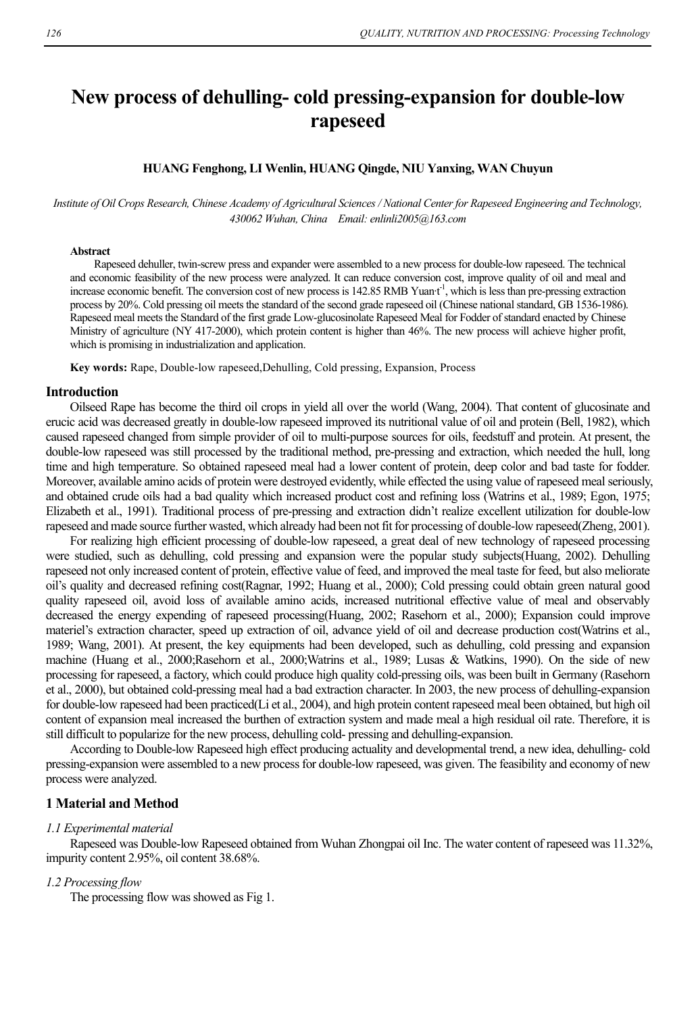# **New process of dehulling- cold pressing-expansion for double-low rapeseed**

## **HUANG Fenghong, LI Wenlin, HUANG Qingde, NIU Yanxing, WAN Chuyun**

*Institute of Oil Crops Research, Chinese Academy of Agricultural Sciences / National Center for Rapeseed Engineering and Technology, 430062 Wuhan, China Email: enlinli2005@163.com* 

### **Abstract**

Rapeseed dehuller, twin-screw press and expander were assembled to a new process for double-low rapeseed. The technical and economic feasibility of the new process were analyzed. It can reduce conversion cost, improve quality of oil and meal and increase economic benefit. The conversion cost of new process is 142.85 RMB Yuan<sup>+1</sup>, which is less than pre-pressing extraction process by 20%. Cold pressing oil meets the standard of the second grade rapeseed oil (Chinese national standard, GB 1536-1986). Rapeseed meal meets the Standard of the first grade Low-glucosinolate Rapeseed Meal for Fodder of standard enacted by Chinese Ministry of agriculture (NY 417-2000), which protein content is higher than 46%. The new process will achieve higher profit, which is promising in industrialization and application.

**Key words:** Rape, Double-low rapeseed,Dehulling, Cold pressing, Expansion, Process

#### **Introduction**

Oilseed Rape has become the third oil crops in yield all over the world (Wang, 2004). That content of glucosinate and erucic acid was decreased greatly in double-low rapeseed improved its nutritional value of oil and protein (Bell, 1982), which caused rapeseed changed from simple provider of oil to multi-purpose sources for oils, feedstuff and protein. At present, the double-low rapeseed was still processed by the traditional method, pre-pressing and extraction, which needed the hull, long time and high temperature. So obtained rapeseed meal had a lower content of protein, deep color and bad taste for fodder. Moreover, available amino acids of protein were destroyed evidently, while effected the using value of rapeseed meal seriously, and obtained crude oils had a bad quality which increased product cost and refining loss (Watrins et al., 1989; Egon, 1975; Elizabeth et al., 1991). Traditional process of pre-pressing and extraction didn't realize excellent utilization for double-low rapeseed and made source further wasted, which already had been not fit for processing of double-low rapeseed(Zheng, 2001).

For realizing high efficient processing of double-low rapeseed, a great deal of new technology of rapeseed processing were studied, such as dehulling, cold pressing and expansion were the popular study subjects(Huang, 2002). Dehulling rapeseed not only increased content of protein, effective value of feed, and improved the meal taste for feed, but also meliorate oil's quality and decreased refining cost(Ragnar, 1992; Huang et al., 2000); Cold pressing could obtain green natural good quality rapeseed oil, avoid loss of available amino acids, increased nutritional effective value of meal and observably decreased the energy expending of rapeseed processing(Huang, 2002; Rasehorn et al., 2000); Expansion could improve materiel's extraction character, speed up extraction of oil, advance yield of oil and decrease production cost(Watrins et al., 1989; Wang, 2001). At present, the key equipments had been developed, such as dehulling, cold pressing and expansion machine (Huang et al., 2000;Rasehorn et al., 2000;Watrins et al., 1989; Lusas & Watkins, 1990). On the side of new processing for rapeseed, a factory, which could produce high quality cold-pressing oils, was been built in Germany (Rasehorn et al., 2000), but obtained cold-pressing meal had a bad extraction character. In 2003, the new process of dehulling-expansion for double-low rapeseed had been practiced(Li et al., 2004), and high protein content rapeseed meal been obtained, but high oil content of expansion meal increased the burthen of extraction system and made meal a high residual oil rate. Therefore, it is still difficult to popularize for the new process, dehulling cold- pressing and dehulling-expansion.

According to Double-low Rapeseed high effect producing actuality and developmental trend, a new idea, dehulling- cold pressing-expansion were assembled to a new process for double-low rapeseed, was given. The feasibility and economy of new process were analyzed.

## **1 Material and Method**

#### *1.1 Experimental material*

Rapeseed was Double-low Rapeseed obtained from Wuhan Zhongpai oil Inc. The water content of rapeseed was 11.32%, impurity content 2.95%, oil content 38.68%.

### *1.2 Processing flow*

The processing flow was showed as Fig 1.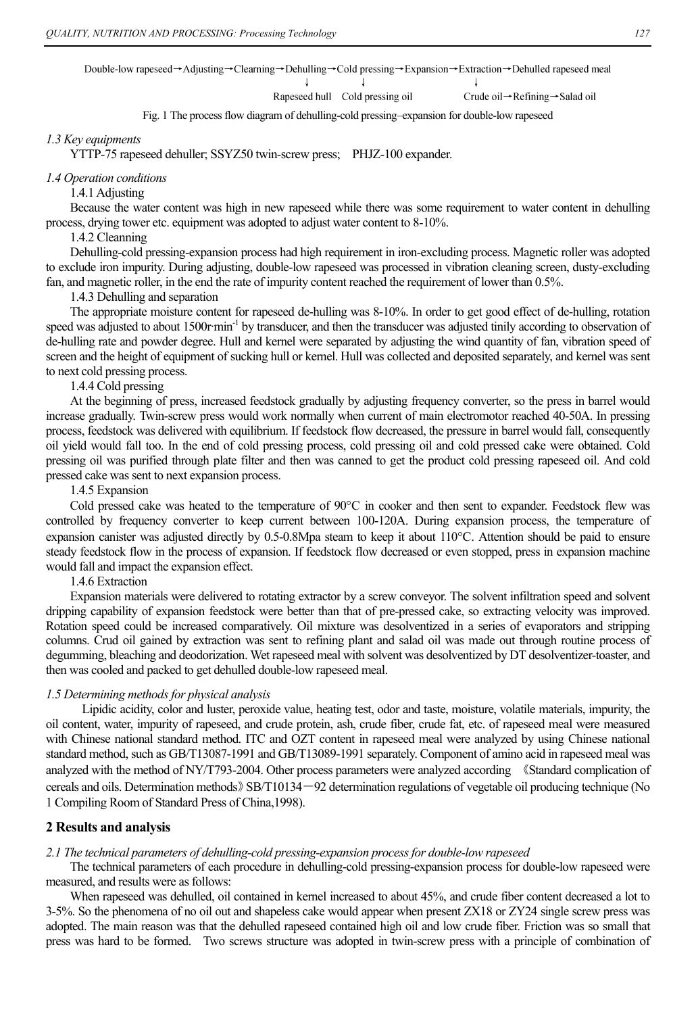Double-low rapeseed→Adjusting→Clearning→Dehulling→Cold pressing→Expansion→Extraction→Dehulled rapeseed meal

 $\perp$ 

Rapeseed hull Cold pressing oil

Crude oil→Refining→Salad oil

J

Fig. 1 The process flow diagram of dehulling-cold pressing–expansion for double-low rapeseed

#### *1.3 Key equipments*

YTTP-75 rapeseed dehuller; SSYZ50 twin-screw press; PHJZ-100 expander.

#### *1.4 Operation conditions*

1.4.1 Adjusting

Because the water content was high in new rapeseed while there was some requirement to water content in dehulling process, drying tower etc. equipment was adopted to adjust water content to 8-10%.

## 1.4.2 Cleanning

Dehulling-cold pressing-expansion process had high requirement in iron-excluding process. Magnetic roller was adopted to exclude iron impurity. During adjusting, double-low rapeseed was processed in vibration cleaning screen, dusty-excluding fan, and magnetic roller, in the end the rate of impurity content reached the requirement of lower than 0.5%.

1.4.3 Dehulling and separation

The appropriate moisture content for rapeseed de-hulling was 8-10%. In order to get good effect of de-hulling, rotation speed was adjusted to about 1500r·min<sup>-1</sup> by transducer, and then the transducer was adjusted tinily according to observation of de-hulling rate and powder degree. Hull and kernel were separated by adjusting the wind quantity of fan, vibration speed of screen and the height of equipment of sucking hull or kernel. Hull was collected and deposited separately, and kernel was sent to next cold pressing process.

## 1.4.4 Cold pressing

At the beginning of press, increased feedstock gradually by adjusting frequency converter, so the press in barrel would increase gradually. Twin-screw press would work normally when current of main electromotor reached 40-50A. In pressing process, feedstock was delivered with equilibrium. If feedstock flow decreased, the pressure in barrel would fall, consequently oil yield would fall too. In the end of cold pressing process, cold pressing oil and cold pressed cake were obtained. Cold pressing oil was purified through plate filter and then was canned to get the product cold pressing rapeseed oil. And cold pressed cake was sent to next expansion process.

## 1.4.5 Expansion

Cold pressed cake was heated to the temperature of 90°C in cooker and then sent to expander. Feedstock flew was controlled by frequency converter to keep current between 100-120A. During expansion process, the temperature of expansion canister was adjusted directly by 0.5-0.8Mpa steam to keep it about 110°C. Attention should be paid to ensure steady feedstock flow in the process of expansion. If feedstock flow decreased or even stopped, press in expansion machine would fall and impact the expansion effect.

1.4.6 Extraction

Expansion materials were delivered to rotating extractor by a screw conveyor. The solvent infiltration speed and solvent dripping capability of expansion feedstock were better than that of pre-pressed cake, so extracting velocity was improved. Rotation speed could be increased comparatively. Oil mixture was desolventized in a series of evaporators and stripping columns. Crud oil gained by extraction was sent to refining plant and salad oil was made out through routine process of degumming, bleaching and deodorization. Wet rapeseed meal with solvent was desolventized by DT desolventizer-toaster, and then was cooled and packed to get dehulled double-low rapeseed meal.

#### *1.5 Determining methods for physical analysis*

 Lipidic acidity, color and luster, peroxide value, heating test, odor and taste, moisture, volatile materials, impurity, the oil content, water, impurity of rapeseed, and crude protein, ash, crude fiber, crude fat, etc. of rapeseed meal were measured with Chinese national standard method. ITC and OZT content in rapeseed meal were analyzed by using Chinese national standard method, such as GB/T13087-1991 and GB/T13089-1991 separately. Component of amino acid in rapeseed meal was analyzed with the method of NY/T793-2004. Other process parameters were analyzed according 《Standard complication of cereals and oils. Determination methods》SB/T10134-92 determination regulations of vegetable oil producing technique (No 1 Compiling Room of Standard Press of China,1998).

## **2 Results and analysis**

## *2.1 The technical parameters of dehulling-cold pressing-expansion process for double-low rapeseed*

The technical parameters of each procedure in dehulling-cold pressing-expansion process for double-low rapeseed were measured, and results were as follows:

When rapeseed was dehulled, oil contained in kernel increased to about 45%, and crude fiber content decreased a lot to 3-5%. So the phenomena of no oil out and shapeless cake would appear when present ZX18 or ZY24 single screw press was adopted. The main reason was that the dehulled rapeseed contained high oil and low crude fiber. Friction was so small that press was hard to be formed. Two screws structure was adopted in twin-screw press with a principle of combination of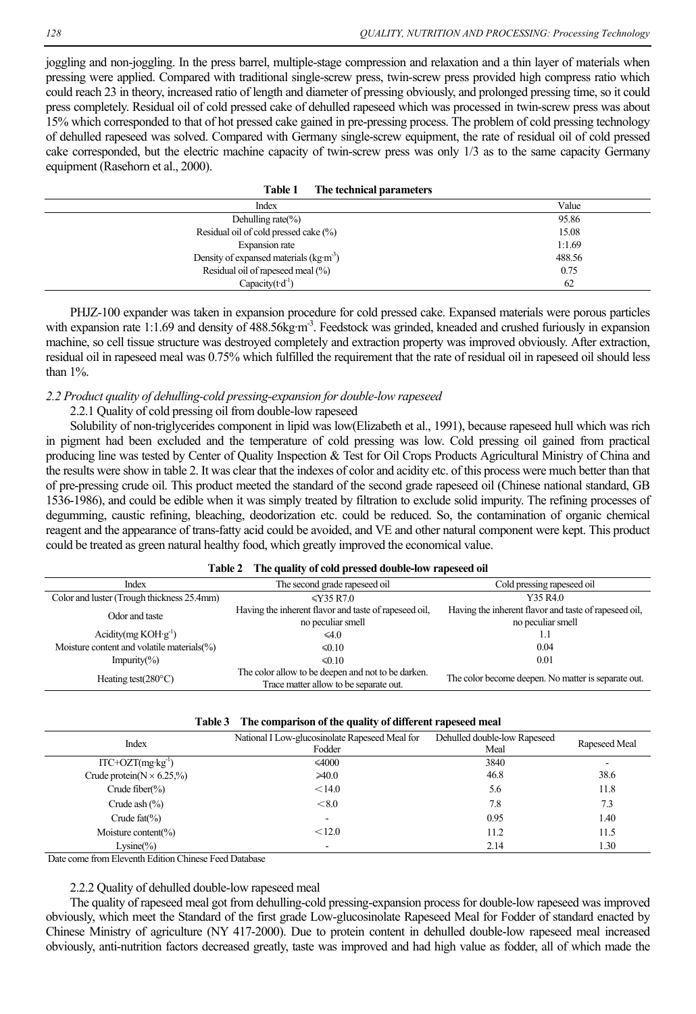joggling and non-joggling. In the press barrel, multiple-stage compression and relaxation and a thin layer of materials when pressing were applied. Compared with traditional single-screw press, twin-screw press provided high compress ratio which could reach 23 in theory, increased ratio of length and diameter of pressing obviously, and prolonged pressing time, so it could press completely. Residual oil of cold pressed cake of dehulled rapeseed which was processed in twin-screw press was about 15% which corresponded to that of hot pressed cake gained in pre-pressing process. The problem of cold pressing technology of dehulled rapeseed was solved. Compared with Germany single-screw equipment, the rate of residual oil of cold pressed cake corresponded, but the electric machine capacity of twin-screw press was only 1/3 as to the same capacity Germany equipment (Rasehorn et al., 2000).

|  | Table 1 | The technical parameters |  |
|--|---------|--------------------------|--|
|--|---------|--------------------------|--|

| Index                                   | Value  |
|-----------------------------------------|--------|
| Dehulling rate $\%$ )                   | 95.86  |
| Residual oil of cold pressed cake (%)   | 15.08  |
| Expansion rate                          | 1:1.69 |
| Density of expansed materials $(kg·m3)$ | 488.56 |
| Residual oil of rapeseed meal (%)       | 0.75   |
| Capacity $(t \cdot d^{-1})$             | 62     |

PHJZ-100 expander was taken in expansion procedure for cold pressed cake. Expansed materials were porous particles with expansion rate 1:1.69 and density of 488.56kg·m<sup>-3</sup>. Feedstock was grinded, kneaded and crushed furiously in expansion machine, so cell tissue structure was destroyed completely and extraction property was improved obviously. After extraction, residual oil in rapeseed meal was 0.75% which fulfilled the requirement that the rate of residual oil in rapeseed oil should less than 1%.

## *2.2 Product quality of dehulling-cold pressing-expansion for double-low rapeseed*

## 2.2.1 Quality of cold pressing oil from double-low rapeseed

Solubility of non-triglycerides component in lipid was low(Elizabeth et al., 1991), because rapeseed hull which was rich in pigment had been excluded and the temperature of cold pressing was low. Cold pressing oil gained from practical producing line was tested by Center of Quality Inspection & Test for Oil Crops Products Agricultural Ministry of China and the results were show in table 2. It was clear that the indexes of color and acidity etc. of this process were much better than that of pre-pressing crude oil. This product meeted the standard of the second grade rapeseed oil (Chinese national standard, GB 1536-1986), and could be edible when it was simply treated by filtration to exclude solid impurity. The refining processes of degumming, caustic refining, bleaching, deodorization etc. could be reduced. So, the contamination of organic chemical reagent and the appearance of trans-fatty acid could be avoided, and VE and other natural component were kept. This product could be treated as green natural healthy food, which greatly improved the economical value.

#### **Table 2 The quality of cold pressed double-low rapeseed oil**

| Index                                          | The second grade rapeseed oil                                                                | Cold pressing rapeseed oil                                                 |
|------------------------------------------------|----------------------------------------------------------------------------------------------|----------------------------------------------------------------------------|
| Color and luster (Trough thickness 25.4mm)     | $\leq$ Y35 R7.0                                                                              | Y35 R4.0                                                                   |
| Odor and taste                                 | Having the inherent flavor and taste of rapeseed oil.<br>no peculiar smell                   | Having the inherent flavor and taste of rapeseed oil,<br>no peculiar smell |
| Acidity(mg $KOH(g^{-1})$                       | $\leq 4.0$                                                                                   |                                                                            |
| Moisture content and volatile materials $(\%)$ | $\leq 0.10$                                                                                  | 0.04                                                                       |
| Impurity $(\%)$                                | $\leq 0.10$                                                                                  | 0.01                                                                       |
| Heating test $(280^{\circ}C)$                  | The color allow to be deepen and not to be darken.<br>Trace matter allow to be separate out. | The color become deepen. No matter is separate out.                        |

|  | Table 3 The comparison of the quality of different rapeseed meal |
|--|------------------------------------------------------------------|
|  |                                                                  |

| Index                             | National I Low-glucosinolate Rapeseed Meal for<br>Fodder | Dehulled double-low Rapeseed<br>Meal | Rapeseed Meal |
|-----------------------------------|----------------------------------------------------------|--------------------------------------|---------------|
| $ITC+OZT(mg \cdot kg^{-1})$       | $\leq 4000$                                              | 3840                                 | ٠             |
| Crude protein( $N \times 6.25$ %) | $\geq 40.0$                                              | 46.8                                 | 38.6          |
| Crude fiber $\frac{9}{6}$         | < 14.0                                                   | 5.6                                  | 11.8          |
| Crude ash $(\% )$                 | < 8.0                                                    | 7.8                                  | 7.3           |
| Crude $fat(\% )$                  |                                                          | 0.95                                 | 1.40          |
| Moisture content( $\%$ )          | < 12.0                                                   | 11.2                                 | 11.5          |
| $Lysine(\%)$                      |                                                          | 2.14                                 | 1.30          |

Date come from Eleventh Edition Chinese Feed Database

#### 2.2.2 Quality of dehulled double-low rapeseed meal

The quality of rapeseed meal got from dehulling-cold pressing-expansion process for double-low rapeseed was improved obviously, which meet the Standard of the first grade Low-glucosinolate Rapeseed Meal for Fodder of standard enacted by Chinese Ministry of agriculture (NY 417-2000). Due to protein content in dehulled double-low rapeseed meal increased obviously, anti-nutrition factors decreased greatly, taste was improved and had high value as fodder, all of which made the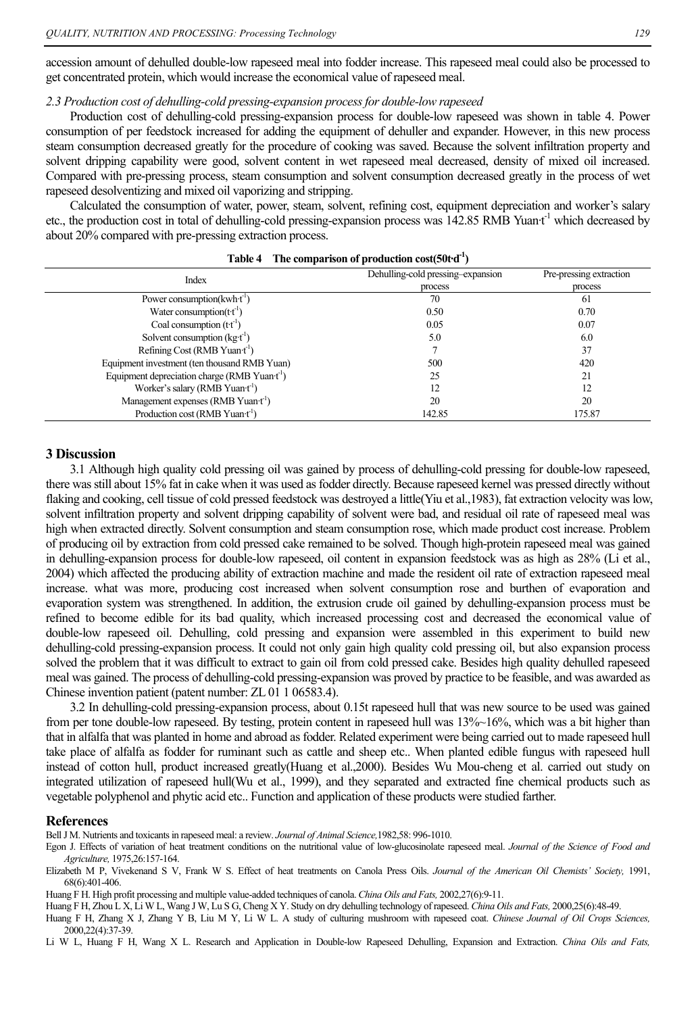accession amount of dehulled double-low rapeseed meal into fodder increase. This rapeseed meal could also be processed to get concentrated protein, which would increase the economical value of rapeseed meal.

## *2.3 Production cost of dehulling-cold pressing-expansion process for double-low rapeseed*

Production cost of dehulling-cold pressing-expansion process for double-low rapeseed was shown in table 4. Power consumption of per feedstock increased for adding the equipment of dehuller and expander. However, in this new process steam consumption decreased greatly for the procedure of cooking was saved. Because the solvent infiltration property and solvent dripping capability were good, solvent content in wet rapeseed meal decreased, density of mixed oil increased. Compared with pre-pressing process, steam consumption and solvent consumption decreased greatly in the process of wet rapeseed desolventizing and mixed oil vaporizing and stripping.

Calculated the consumption of water, power, steam, solvent, refining cost, equipment depreciation and worker's salary etc., the production cost in total of dehulling-cold pressing-expansion process was  $142.85$  RMB Yuan $t^{-1}$  which decreased by about 20% compared with pre-pressing extraction process.

| Index                                                    | Dehulling-cold pressing-expansion<br>process | Pre-pressing extraction<br>process |
|----------------------------------------------------------|----------------------------------------------|------------------------------------|
| Power consumption( $kwh \cdot t^{-1}$ )                  | 70                                           | 61                                 |
| Water consumption $(t t-1)$                              | 0.50                                         | 0.70                               |
| Coal consumption $(t t-1)$                               | 0.05                                         | 0.07                               |
| Solvent consumption $(kg-t-1)$                           | 5.0                                          | 6.0                                |
| Refining Cost (RMB Yuan $t^{-1}$ )                       |                                              | 37                                 |
| Equipment investment (ten thousand RMB Yuan)             | 500                                          | 420                                |
| Equipment depreciation charge (RMB Yuan $t^{\text{-}}$ ) | 25                                           | 21                                 |
| Worker's salary (RMB Yuan·t <sup>-1</sup> )              | 12                                           |                                    |
| Management expenses (RMB Yuan t <sup>-1</sup> )          | 20                                           | 20                                 |
| Production cost (RMB Yuan $t^{-1}$ )                     | 142.85                                       | 175.87                             |

#### **Table 4 The comparison of production cost(50t·d-1)**

## **3 Discussion**

3.1 Although high quality cold pressing oil was gained by process of dehulling-cold pressing for double-low rapeseed, there was still about 15% fat in cake when it was used as fodder directly. Because rapeseed kernel was pressed directly without flaking and cooking, cell tissue of cold pressed feedstock was destroyed a little(Yiu et al.,1983), fat extraction velocity was low, solvent infiltration property and solvent dripping capability of solvent were bad, and residual oil rate of rapeseed meal was high when extracted directly. Solvent consumption and steam consumption rose, which made product cost increase. Problem of producing oil by extraction from cold pressed cake remained to be solved. Though high-protein rapeseed meal was gained in dehulling-expansion process for double-low rapeseed, oil content in expansion feedstock was as high as 28% (Li et al., 2004) which affected the producing ability of extraction machine and made the resident oil rate of extraction rapeseed meal increase. what was more, producing cost increased when solvent consumption rose and burthen of evaporation and evaporation system was strengthened. In addition, the extrusion crude oil gained by dehulling-expansion process must be refined to become edible for its bad quality, which increased processing cost and decreased the economical value of double-low rapeseed oil. Dehulling, cold pressing and expansion were assembled in this experiment to build new dehulling-cold pressing-expansion process. It could not only gain high quality cold pressing oil, but also expansion process solved the problem that it was difficult to extract to gain oil from cold pressed cake. Besides high quality dehulled rapeseed meal was gained. The process of dehulling-cold pressing-expansion was proved by practice to be feasible, and was awarded as Chinese invention patient (patent number: ZL 01 1 06583.4).

3.2 In dehulling-cold pressing-expansion process, about 0.15t rapeseed hull that was new source to be used was gained from per tone double-low rapeseed. By testing, protein content in rapeseed hull was 13%~16%, which was a bit higher than that in alfalfa that was planted in home and abroad as fodder. Related experiment were being carried out to made rapeseed hull take place of alfalfa as fodder for ruminant such as cattle and sheep etc.. When planted edible fungus with rapeseed hull instead of cotton hull, product increased greatly(Huang et al.,2000). Besides Wu Mou-cheng et al. carried out study on integrated utilization of rapeseed hull(Wu et al., 1999), and they separated and extracted fine chemical products such as vegetable polyphenol and phytic acid etc.. Function and application of these products were studied farther.

#### **References**

Bell J M. Nutrients and toxicants in rapeseed meal: a review. *Journal of Animal Science,*1982,58: 996-1010.

Huang F H. High profit processing and multiple value-added techniques of canola. *China Oils and Fats,* 2002,27(6):9-11.

Huang F H, Zhou L X, Li W L, Wang J W, Lu S G, Cheng X Y. Study on dry dehulling technology of rapeseed. *China Oils and Fats,* 2000,25(6):48-49. Huang F H, Zhang X J, Zhang Y B, Liu M Y, Li W L. A study of culturing mushroom with rapeseed coat. *Chinese Journal of Oil Crops Sciences,*  2000,22(4):37-39.

Li W L, Huang F H, Wang X L. Research and Application in Double-low Rapeseed Dehulling, Expansion and Extraction. *China Oils and Fats,* 

Egon J. Effects of variation of heat treatment conditions on the nutritional value of low-glucosinolate rapeseed meal. *Journal of the Science of Food and Agriculture,* 1975,26:157-164.

Elizabeth M P, Vivekenand S V, Frank W S. Effect of heat treatments on Canola Press Oils. *Journal of the American Oil Chemists' Society,* 1991, 68(6):401-406.